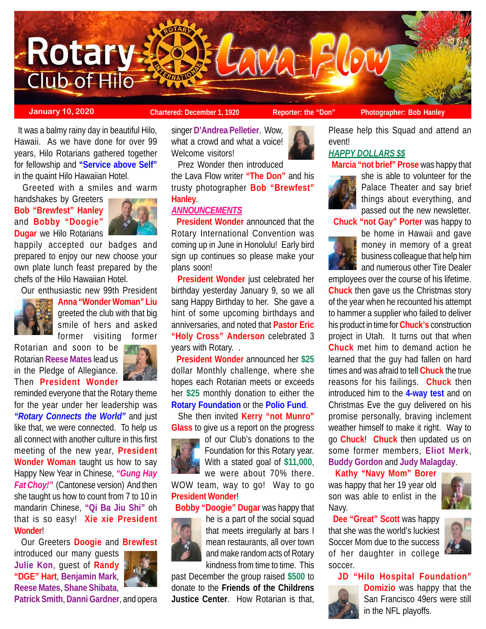

**January 10, 2020 Chartered: December 1, 1920 Reporter: the "Don"** Photographer: Bob Hanley

 It was a balmy rainy day in beautiful Hilo, Hawaii. As we have done for over 99 years, Hilo Rotarians gathered together for fellowship and **"Service above Self"** in the quaint Hilo Hawaiian Hotel.

Greeted with a smiles and warm

handshakes by Greeters **Bob "Brewfest" Hanley** and **Bobby "Doogie" Dugar** we Hilo Rotarians



happily accepted our badges and prepared to enjoy our new choose your own plate lunch feast prepared by the chefs of the Hilo Hawaiian Hotel.

Our enthusiastic new 99th President



**Anna "Wonder Woman" Liu** greeted the club with that big smile of hers and asked former visiting former

Rotarian and soon to be Rotarian **Reese Mates** lead us in the Pledge of Allegiance. Then **President Wonder**



reminded everyone that the Rotary theme for the year under her leadership was *"Rotary Connects the World"* and just like that, we were connected. To help us all connect with another culture in this first meeting of the new year, **President Wonder Woman** taught us how to say Happy New Year in Chinese, *"Gung Hay Fat Choy!"* (Cantonese version) And then she taught us how to count from 7 to 10 in mandarin Chinese, **"Qi Ba Jiu Shi"** oh that is so easy! **Xie xie President Wonder**!

Our Greeters **Doogie** and **Brewfest**

introduced our many guests **Julie Kon**, guest of **Randy "DGE" Hart**, **Benjamin Mark**, **Reese Mates**, **Shane Shibata**,



**Patrick Smith**, **Danni Gardner**, and opera

singer **D'Andrea Pelletier**. Wow, what a crowd and what a voice! Welcome visitors!

 Prez Wonder then introduced the Lava Flow writer **"The Don"** and his trusty photographer **Bob "Brewfest" Hanley**.

# *ANNOUNCEMENTS*

 **President Wonder** announced that the Rotary International Convention was coming up in June in Honolulu! Early bird sign up continues so please make your plans soon!

 **President Wonder** just celebrated her birthday yesterday January 9, so we all sang Happy Birthday to her. She gave a hint of some upcoming birthdays and anniversaries, and noted that **Pastor Eric "Holy Cross" Anderson** celebrated 3 years with Rotary. .

 **President Wonder** announced her **\$25** dollar Monthly challenge, where she hopes each Rotarian meets or exceeds her **\$25** monthly donation to either the **Rotary Foundation** or the **Polio Fund**.

 She then invited **Kerry "not Munro" Glass** to give us a report on the progress



of our Club's donations to the Foundation for this Rotary year. With a stated goal of **\$11,000**, we were about 70% there.

WOW team, way to go! Way to go **President Wonder**!

**Bobby "Doogie" Dugar** was happy that



he is a part of the social squad that meets irregularly at bars I mean restaurants, all over town and make random acts of Rotary kindness from time to time. This

past December the group raised **\$500** to donate to the **Friends of the Childrens Justice Center**. How Rotarian is that,

Please help this Squad and attend an event!

# *HAPPY DOLLARS \$\$*

**Marcia "not brief" Prose** was happy that



she is able to volunteer for the Palace Theater and say brief things about everything, and passed out the new newsletter.

**Chuck "not Gay" Porter** was happy to



be home in Hawaii and gave money in memory of a great business colleague that help him and numerous other Tire Dealer

employees over the course of his lifetime. **Chuck** then gave us the Christmas story of the year when he recounted his attempt to hammer a supplier who failed to deliver his product in time for **Chuck's** construction project in Utah. It turns out that when **Chuck** met him to demand action he learned that the guy had fallen on hard times and was afraid to tell **Chuck** the true reasons for his failings. **Chuck** then introduced him to the **4-way test** and on Christmas Eve the guy delivered on his promise personally, braving inclement weather himself to make it right. Way to go **Chuck**! **Chuck** then updated us on some former members, **Eliot Merk**, **Buddy Gordon** and **Judy Malagday**.

 **Kathy "Navy Mom" Borer** was happy that her 19 year old son was able to enlist in the Navy.



 **Dee "Great" Scott** was happy that she was the world's luckiest Soccer Mom due to the success of her daughter in college soccer.



## **JD "Hilo Hospital Foundation"**



**Domizio** was happy that the San Francisco 49ers were still in the NFL playoffs.